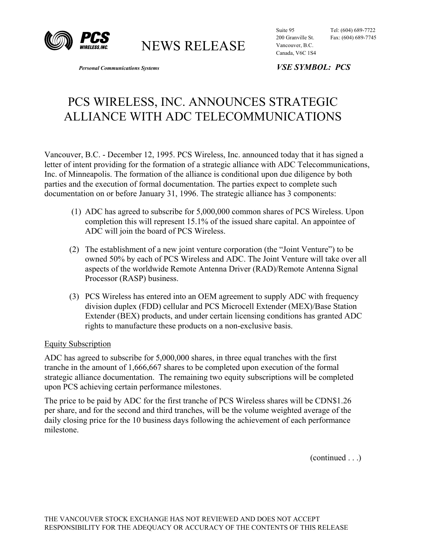

NEWS RELEASE

Suite 95 Tel: (604) 689-7722 200 Granville St. Fax: (604) 689-7745 Vancouver, B.C. Canada, V6C 1S4

*Personal Communications Systems VSE SYMBOL: PCS* 

## PCS WIRELESS, INC. ANNOUNCES STRATEGIC ALLIANCE WITH ADC TELECOMMUNICATIONS

Vancouver, B.C. - December 12, 1995. PCS Wireless, Inc. announced today that it has signed a letter of intent providing for the formation of a strategic alliance with ADC Telecommunications, Inc. of Minneapolis. The formation of the alliance is conditional upon due diligence by both parties and the execution of formal documentation. The parties expect to complete such documentation on or before January 31, 1996. The strategic alliance has 3 components:

- (1) ADC has agreed to subscribe for 5,000,000 common shares of PCS Wireless. Upon completion this will represent 15.1% of the issued share capital. An appointee of ADC will join the board of PCS Wireless.
- (2) The establishment of a new joint venture corporation (the "Joint Venture") to be owned 50% by each of PCS Wireless and ADC. The Joint Venture will take over all aspects of the worldwide Remote Antenna Driver (RAD)/Remote Antenna Signal Processor (RASP) business.
- (3) PCS Wireless has entered into an OEM agreement to supply ADC with frequency division duplex (FDD) cellular and PCS Microcell Extender (MEX)/Base Station Extender (BEX) products, and under certain licensing conditions has granted ADC rights to manufacture these products on a non-exclusive basis.

## Equity Subscription

ADC has agreed to subscribe for 5,000,000 shares, in three equal tranches with the first tranche in the amount of 1,666,667 shares to be completed upon execution of the formal strategic alliance documentation. The remaining two equity subscriptions will be completed upon PCS achieving certain performance milestones.

The price to be paid by ADC for the first tranche of PCS Wireless shares will be CDN\$1.26 per share, and for the second and third tranches, will be the volume weighted average of the daily closing price for the 10 business days following the achievement of each performance milestone.

(continued . . .)